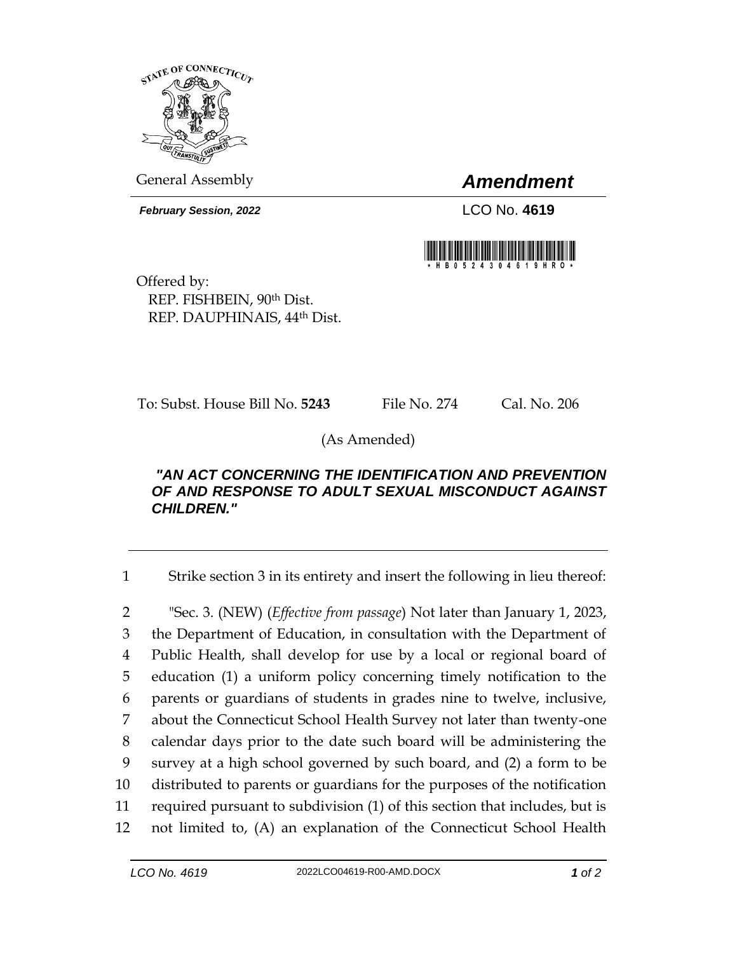

General Assembly *Amendment*

*February Session, 2022* LCO No. **4619**



Offered by: REP. FISHBEIN, 90th Dist. REP. DAUPHINAIS, 44th Dist.

To: Subst. House Bill No. **5243** File No. 274 Cal. No. 206

(As Amended)

## *"AN ACT CONCERNING THE IDENTIFICATION AND PREVENTION OF AND RESPONSE TO ADULT SEXUAL MISCONDUCT AGAINST CHILDREN."*

1 Strike section 3 in its entirety and insert the following in lieu thereof:

 "Sec. 3. (NEW) (*Effective from passage*) Not later than January 1, 2023, the Department of Education, in consultation with the Department of Public Health, shall develop for use by a local or regional board of education (1) a uniform policy concerning timely notification to the parents or guardians of students in grades nine to twelve, inclusive, about the Connecticut School Health Survey not later than twenty-one calendar days prior to the date such board will be administering the survey at a high school governed by such board, and (2) a form to be distributed to parents or guardians for the purposes of the notification required pursuant to subdivision (1) of this section that includes, but is not limited to, (A) an explanation of the Connecticut School Health